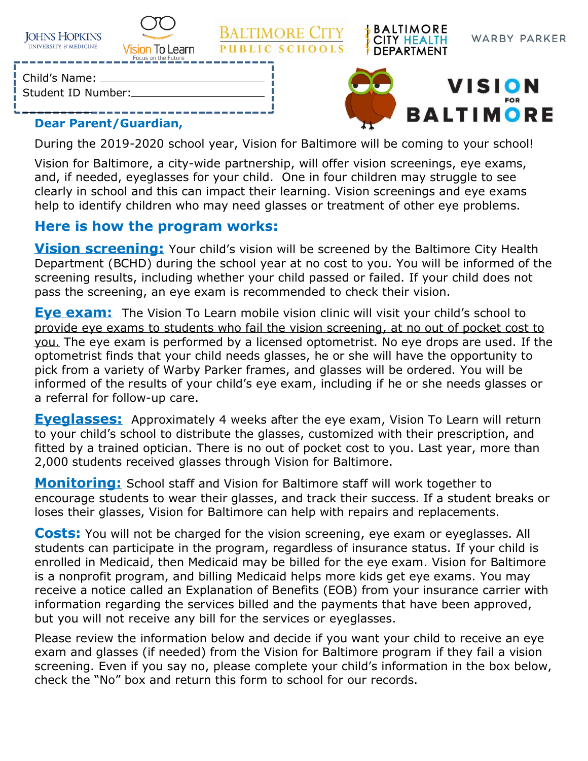| <b>JOHNS HOPKINS</b>  |
|-----------------------|
| UNIVERSITY & MEDICINE |



**BALTIMORE CITY PUBLIC SCHOOLS** 



Child's Name:

Student ID Number:



**BALTIMORE** 

**CITY HEALTH** 

**DEPARTMENT** 

## **Dear Parent/Guardian,**

During the 2019-2020 school year, Vision for Baltimore will be coming to your school!

Vision for Baltimore, a city-wide partnership, will offer vision screenings, eye exams, and, if needed, eyeglasses for your child. One in four children may struggle to see clearly in school and this can impact their learning. Vision screenings and eye exams help to identify children who may need glasses or treatment of other eye problems.

## **Here is how the program works:**

**Vision screening:** Your child's vision will be screened by the Baltimore City Health Department (BCHD) during the school year at no cost to you. You will be informed of the screening results, including whether your child passed or failed. If your child does not pass the screening, an eye exam is recommended to check their vision.

**Eve exam:** The Vision To Learn mobile vision clinic will visit your child's school to provide eye exams to students who fail the vision screening, at no out of pocket cost to you. The eye exam is performed by a licensed optometrist. No eye drops are used. If the optometrist finds that your child needs glasses, he or she will have the opportunity to pick from a variety of Warby Parker frames, and glasses will be ordered. You will be informed of the results of your child's eye exam, including if he or she needs glasses or a referral for follow-up care.

**Eyeglasses:** Approximately 4 weeks after the eye exam, Vision To Learn will return to your child's school to distribute the glasses, customized with their prescription, and fitted by a trained optician. There is no out of pocket cost to you. Last year, more than 2,000 students received glasses through Vision for Baltimore.

**Monitoring:** School staff and Vision for Baltimore staff will work together to encourage students to wear their glasses, and track their success. If a student breaks or loses their glasses, Vision for Baltimore can help with repairs and replacements.

**Costs:** You will not be charged for the vision screening, eye exam or eyeglasses. All students can participate in the program, regardless of insurance status. If your child is enrolled in Medicaid, then Medicaid may be billed for the eye exam. Vision for Baltimore is a nonprofit program, and billing Medicaid helps more kids get eye exams. You may receive a notice called an Explanation of Benefits (EOB) from your insurance carrier with information regarding the services billed and the payments that have been approved, but you will not receive any bill for the services or eyeglasses.

Please review the information below and decide if you want your child to receive an eye exam and glasses (if needed) from the Vision for Baltimore program if they fail a vision screening. Even if you say no, please complete your child's information in the box below, check the "No" box and return this form to school for our records.